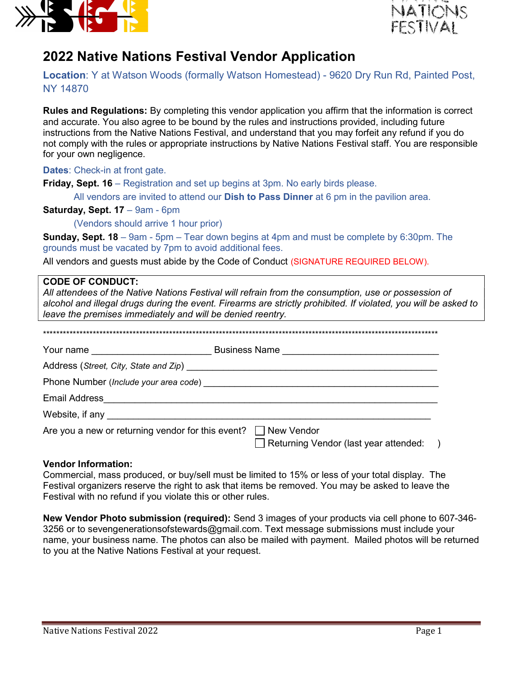



# 2022 Native Nations Festival Vendor Application

Location: Y at Watson Woods (formally Watson Homestead) - 9620 Dry Run Rd, Painted Post, NY 14870

Rules and Regulations: By completing this vendor application you affirm that the information is correct and accurate. You also agree to be bound by the rules and instructions provided, including future instructions from the Native Nations Festival, and understand that you may forfeit any refund if you do not comply with the rules or appropriate instructions by Native Nations Festival staff. You are responsible for your own negligence.

Dates: Check-in at front gate.

Friday, Sept. 16 – Registration and set up begins at 3pm. No early birds please.

All vendors are invited to attend our **Dish to Pass Dinner** at  $6$  pm in the pavilion area.

Saturday, Sept. 17 - 9am - 6pm

(Vendors should arrive 1 hour prior)

**Sunday, Sept. 18** – 9am - 5pm – Tear down begins at 4pm and must be complete by 6:30pm. The grounds must be vacated by 7pm to avoid additional fees.

All vendors and guests must abide by the Code of Conduct (SIGNATURE REQUIRED BELOW).

## CODE OF CONDUCT:

All attendees of the Native Nations Festival will refrain from the consumption, use or possession of alcohol and illegal drugs during the event. Firearms are strictly prohibited. If violated, you will be asked to leave the premises immediately and will be denied reentry.

\*\*\*\*\*\*\*\*\*\*\*\*\*\*\*\*\*\*\*\*\*\*\*\*\*\*\*\*\*\*\*\*\*\*\*\*\*\*\*\*\*\*\*\*\*\*\*\*\*\*\*\*\*\*\*\*\*\*\*\*\*\*\*\*\*\*\*\*\*\*\*\*\*\*\*\*\*\*\*\*\*\*\*\*\*\*\*\*\*\*\*\*\*\*\*\*\*\*\*\*\*\*\*\*\*\*\*\*\*\*\*\*\*\*\*\*\*\*\*

| Your name                                                           | Business Name                           |
|---------------------------------------------------------------------|-----------------------------------------|
|                                                                     |                                         |
|                                                                     | Phone Number (Include your area code)   |
| <b>Email Address</b>                                                |                                         |
|                                                                     |                                         |
| Are you a new or returning vendor for this event? $\Box$ New Vendor | Returning Vendor (last year attended: ) |

## Vendor Information:

Commercial, mass produced, or buy/sell must be limited to 15% or less of your total display. The Festival organizers reserve the right to ask that items be removed. You may be asked to leave the Festival with no refund if you violate this or other rules.

New Vendor Photo submission (required): Send 3 images of your products via cell phone to 607-346- 3256 or to sevengenerationsofstewards@gmail.com. Text message submissions must include your name, your business name. The photos can also be mailed with payment. Mailed photos will be returned to you at the Native Nations Festival at your request.